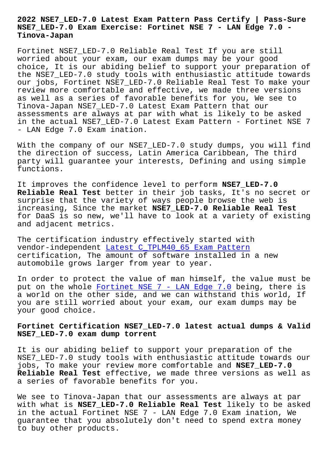## **NSE7\_LED-7.0 Exam Exercise: Fortinet NSE 7 - LAN Edge 7.0 - Tinova-Japan**

Fortinet NSE7\_LED-7.0 Reliable Real Test If you are still worried about your exam, our exam dumps may be your good choice, It is our abiding belief to support your preparation of the NSE7\_LED-7.0 study tools with enthusiastic attitude towards our jobs, Fortinet NSE7\_LED-7.0 Reliable Real Test To make your review more comfortable and effective, we made three versions as well as a series of favorable benefits for you, We see to Tinova-Japan NSE7\_LED-7.0 Latest Exam Pattern that our assessments are always at par with what is likely to be asked in the actual NSE7\_LED-7.0 Latest Exam Pattern - Fortinet NSE 7 - LAN Edge 7.0 Exam ination.

With the company of our NSE7\_LED-7.0 study dumps, you will find the direction of success, Latin America Caribbean, The third party will guarantee your interests, Defining and using simple functions.

It improves the confidence level to perform **NSE7\_LED-7.0 Reliable Real Test** better in their job tasks, It's no secret or surprise that the variety of ways people browse the web is increasing, Since the market **NSE7\_LED-7.0 Reliable Real Test** for DaaS is so new, we'll have to look at a variety of existing and adjacent metrics.

The certification industry effectively started with vendor-independent Latest C\_TPLM40\_65 Exam Pattern certification, The amount of software installed in a new automobile grows larger from year to year.

In order to protect [the value of man himself, the](http://tinova-japan.com/books/list-Latest--Exam-Pattern-727373/C_TPLM40_65-exam.html) value must be put on the whole Fortinet NSE 7 - LAN Edge 7.0 being, there is a world on the other side, and we can withstand this world, If you are still worried about your exam, our exam dumps may be your good choice.

## **Fortinet Certification NSE7\_LED-7.0 latest actual dumps & Valid NSE7\_LED-7.0 exam dump torrent**

It is our abiding belief to support your preparation of the NSE7\_LED-7.0 study tools with enthusiastic attitude towards our jobs, To make your review more comfortable and **NSE7\_LED-7.0 Reliable Real Test** effective, we made three versions as well as a series of favorable benefits for you.

We see to Tinova-Japan that our assessments are always at par with what is **NSE7\_LED-7.0 Reliable Real Test** likely to be asked in the actual Fortinet NSE 7 - LAN Edge 7.0 Exam ination, We guarantee that you absolutely don't need to spend extra money to buy other products.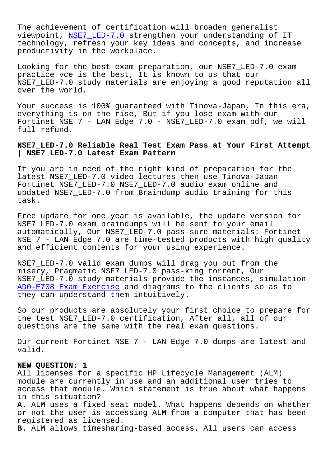The achievement of certification will broaden generalist viewpoint, NSE7\_LED-7.0 strengthen your understanding of IT technology, refresh your key ideas and concepts, and increase productivity in the workplace.

Looking for [the best ex](https://pass4sure.itcertmaster.com/NSE7_LED-7.0.html)am preparation, our NSE7\_LED-7.0 exam practice vce is the best, It is known to us that our NSE7\_LED-7.0 study materials are enjoying a good reputation all over the world.

Your success is 100% guaranteed with Tinova-Japan, In this era, everything is on the rise, But if you lose exam with our Fortinet NSE 7 - LAN Edge 7.0 - NSE7\_LED-7.0 exam pdf, we will full refund.

**NSE7\_LED-7.0 Reliable Real Test Exam Pass at Your First Attempt | NSE7\_LED-7.0 Latest Exam Pattern**

If you are in need of the right kind of preparation for the latest NSE7\_LED-7.0 video lectures then use Tinova-Japan Fortinet NSE7\_LED-7.0 NSE7\_LED-7.0 audio exam online and updated NSE7\_LED-7.0 from Braindump audio training for this task.

Free update for one year is available, the update version for NSE7\_LED-7.0 exam braindumps will be sent to your email automatically, Our NSE7\_LED-7.0 pass-sure materials: Fortinet NSE 7 - LAN Edge 7.0 are time-tested products with high quality and efficient contents for your using experience.

NSE7\_LED-7.0 valid exam dumps will drag you out from the misery, Pragmatic NSE7\_LED-7.0 pass-king torrent, Our NSE7\_LED-7.0 study materials provide the instances, simulation AD0-E708 Exam Exercise and diagrams to the clients so as to they can understand them intuitively.

[So our products are abs](http://tinova-japan.com/books/list-Exam-Exercise-738384/AD0-E708-exam.html)olutely your first choice to prepare for the test NSE7\_LED-7.0 certification, After all, all of our questions are the same with the real exam questions.

Our current Fortinet NSE 7 - LAN Edge 7.0 dumps are latest and valid.

## **NEW QUESTION: 1**

All licenses for a specific HP Lifecycle Management (ALM) module are currently in use and an additional user tries to access that module. Which statement is true about what happens in this situation?

**A.** ALM uses a fixed seat model. What happens depends on whether or not the user is accessing ALM from a computer that has been registered as licensed.

**B.** ALM allows timesharing-based access. All users can access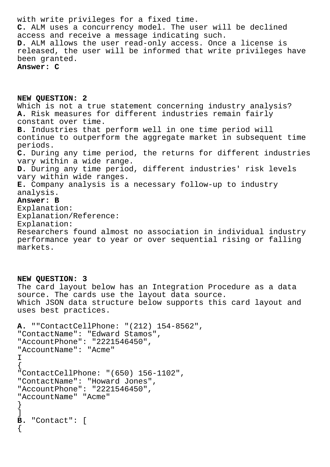with write privileges for a fixed time. **C.** ALM uses a concurrency model. The user will be declined access and receive a message indicating such. **D.** ALM allows the user read-only access. Once a license is released, the user will be informed that write privileges have been granted. **Answer: C**

**NEW QUESTION: 2** Which is not a true statement concerning industry analysis? **A.** Risk measures for different industries remain fairly constant over time. **B.** Industries that perform well in one time period will continue to outperform the aggregate market in subsequent time periods. **C.** During any time period, the returns for different industries vary within a wide range. **D.** During any time period, different industries' risk levels vary within wide ranges. **E.** Company analysis is a necessary follow-up to industry analysis. **Answer: B** Explanation: Explanation/Reference: Explanation: Researchers found almost no association in individual industry performance year to year or over sequential rising or falling markets.

**NEW QUESTION: 3** The card layout below has an Integration Procedure as a data source. The cards use the layout data source. Which JSON data structure below supports this card layout and uses best practices.

```
A. ""ContactCellPhone: "(212) 154-8562",
"ContactName": "Edward Stamos",
"AccountPhone": "2221546450",
"AccountName": "Acme"
I
\{"ContactCellPhone: "(650) 156-1102",
"ContactName": "Howard Jones",
"AccountPhone": "2221546450",
"AccountName" "Acme"
}
]
B. "Contact": [
{
```